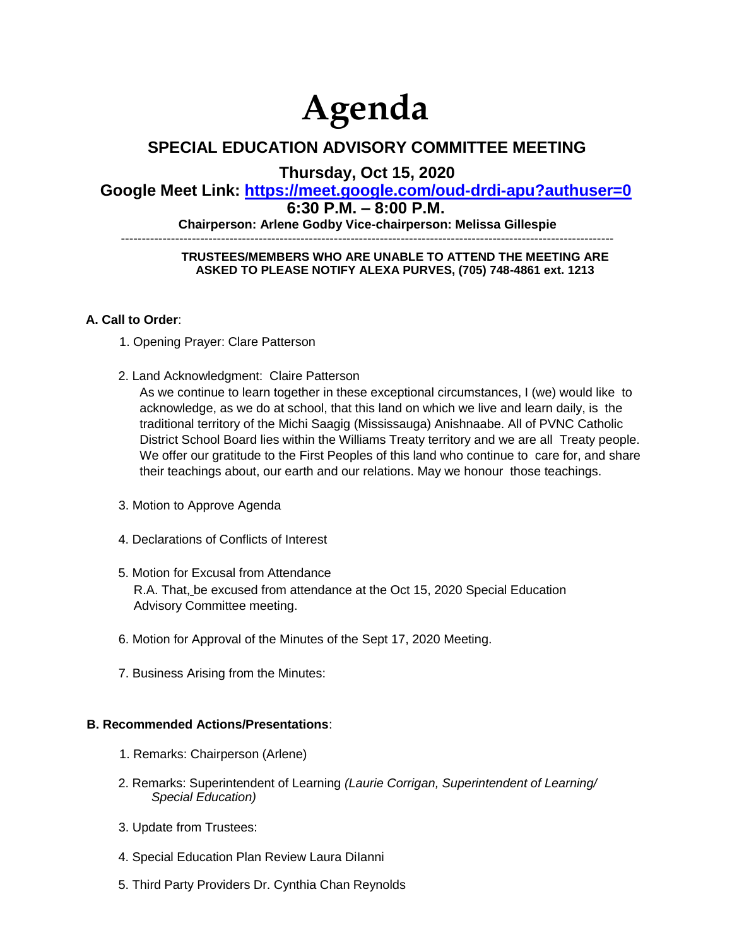# **Agenda**

## **SPECIAL EDUCATION ADVISORY COMMITTEE MEETING**

**Thursday, Oct 15, 2020** 

## **Google Meet Link: https://meet.google.com/oud-drdi-apu?authuser=0**

### **6:30 P.M. – 8:00 P.M.**

**Chairperson: Arlene Godby Vice-chairperson: Melissa Gillespie** 

----------------------------------------------------------------------------------------------------------------------

#### **TRUSTEES/MEMBERS WHO ARE UNABLE TO ATTEND THE MEETING ARE ASKED TO PLEASE NOTIFY ALEXA PURVES, (705) 748-4861 ext. 1213**

#### **A. Call to Order**:

- 1. Opening Prayer: Clare Patterson
- 2. Land Acknowledgment: Claire Patterson

As we continue to learn together in these exceptional circumstances, I (we) would like to acknowledge, as we do at school, that this land on which we live and learn daily, is the traditional territory of the Michi Saagig (Mississauga) Anishnaabe. All of PVNC Catholic District School Board lies within the Williams Treaty territory and we are all Treaty people. We offer our gratitude to the First Peoples of this land who continue to care for, and share their teachings about, our earth and our relations. May we honour those teachings.

- 3. Motion to Approve Agenda
- 4. Declarations of Conflicts of Interest
- 5. Motion for Excusal from Attendance R.A. That, be excused from attendance at the Oct 15, 2020 Special Education Advisory Committee meeting.
- 6. Motion for Approval of the Minutes of the Sept 17, 2020 Meeting.
- 7. Business Arising from the Minutes:

#### **B. Recommended Actions/Presentations**:

- 1. Remarks: Chairperson (Arlene)
- 2. Remarks: Superintendent of Learning *(Laurie Corrigan, Superintendent of Learning/ Special Education)*
- 3. Update from Trustees:
- 4. Special Education Plan Review Laura DiIanni
- 5. Third Party Providers Dr. Cynthia Chan Reynolds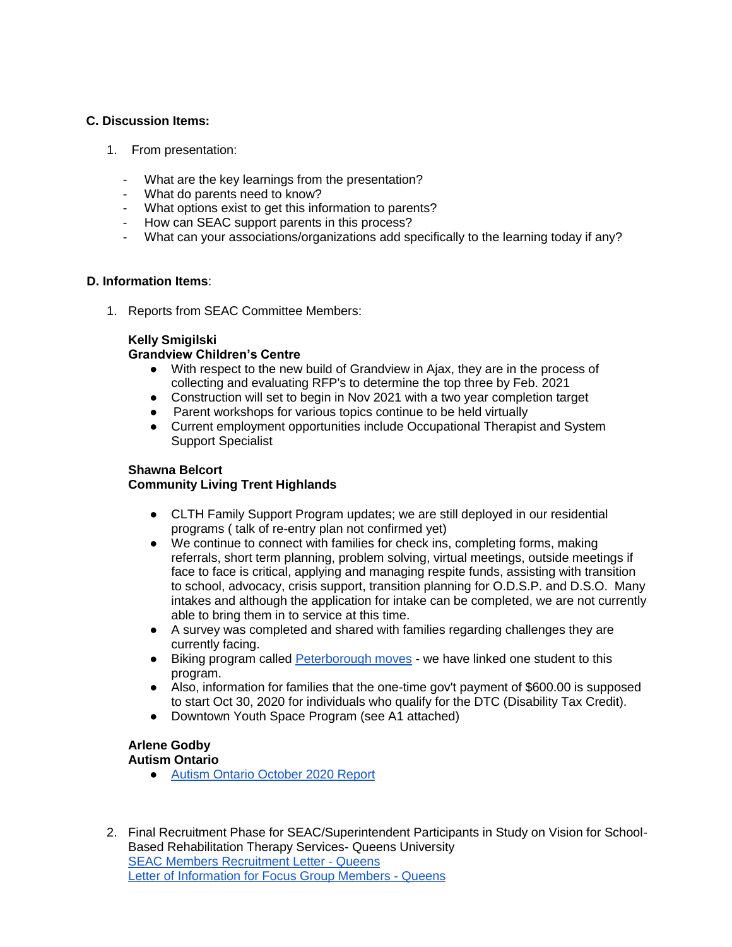#### **C. Discussion Items:**

- 1. From presentation:
	- What are the key learnings from the presentation?
	- What do parents need to know?
	- What options exist to get this information to parents?
	- How can SEAC support parents in this process?
	- What can your associations/organizations add specifically to the learning today if any?

#### **D. Information Items**:

1. Reports from SEAC Committee Members:

#### **Kelly Smigilski**

#### **Grandview Children's Centre**

- With respect to the new build of Grandview in Ajax, they are in the process of collecting and evaluating RFP's to determine the top three by Feb. 2021
- Construction will set to begin in Nov 2021 with a two year completion target
- Parent workshops for various topics continue to be held virtually
- Current employment opportunities include Occupational Therapist and System Support Specialist

#### **Shawna Belcort**

#### **Community Living Trent Highlands**

- CLTH Family Support Program updates; we are still deployed in our residential programs ( talk of re-entry plan not confirmed yet)
- We continue to connect with families for check ins, completing forms, making referrals, short term planning, problem solving, virtual meetings, outside meetings if face to face is critical, applying and managing respite funds, assisting with transition to school, advocacy, crisis support, transition planning for O.D.S.P. and D.S.O. Many intakes and although the application for intake can be completed, we are not currently able to bring them in to service at this time.
- A survey was completed and shared with families regarding challenges they are currently facing.
- Biking program calle[d](http://peterboroughmoves.com/events-workshops/) [Peterborough moves](http://peterboroughmoves.com/events-workshops/) we have linked one student to this program.
- Also, information for families that the one-time gov't payment of \$600.00 is supposed to start Oct 30, 2020 for individuals who qualify for the DTC (Disability Tax Credit).
- Downtown Youth Space Program (see A1 attached)

#### **Arlene Godby Autism Ontario**

- [Autism Ontario October 2020 Report](https://mailchi.mp/dd138b2070ee/autism-ontario-peterborough-october-2020-6588229?e=ec7b29dfa9)
- 2. Final Recruitment Phase for SEAC/Superintendent Participants in Study on Vision for School-Based Rehabilitation Therapy Services- Queens University [SEAC Members Recruitment Letter -](https://drive.google.com/file/d/1-CTuVCP9cVSfY3F7x3mzxVqVvtunzUOS/view?usp=sharing) Queens [Letter of Information for Focus Group Members -](https://drive.google.com/file/d/1-M9boBCVMxlrmiTOI83GSyG_Wtcr8KMG/view?usp=sharing) Queens